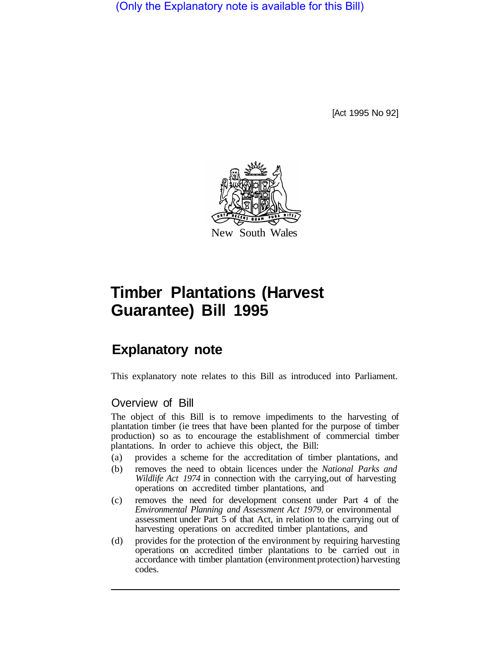(Only the Explanatory note is available for this Bill)

[Act 1995 No 92]



# **Timber Plantations (Harvest Guarantee) Bill 1995**

# **Explanatory note**

This explanatory note relates to this Bill as introduced into Parliament.

### Overview of Bill

The object of this Bill is to remove impediments to the harvesting of plantation timber (ie trees that have been planted for the purpose of timber production) so as to encourage the establishment of commercial timber plantations. In order to achieve this object, the Bill:

- (a) provides a scheme for the accreditation of timber plantations, and
- (b) removes the need to obtain licences under the *National Parks and Wildlife Act 1974* in connection with the carrying, out of harvesting operations on accredited timber plantations, and
- (c) removes the need for development consent under Part 4 of the *Environmental Planning and Assessment Act 1979,* or environmental assessment under Part 5 of that Act, in relation to the carrying out of harvesting operations on accredited timber plantations, and
- (d) provides for the protection of the environment by requiring harvesting operations on accredited timber plantations to be carried out in accordance with timber plantation (environment protection) harvesting codes.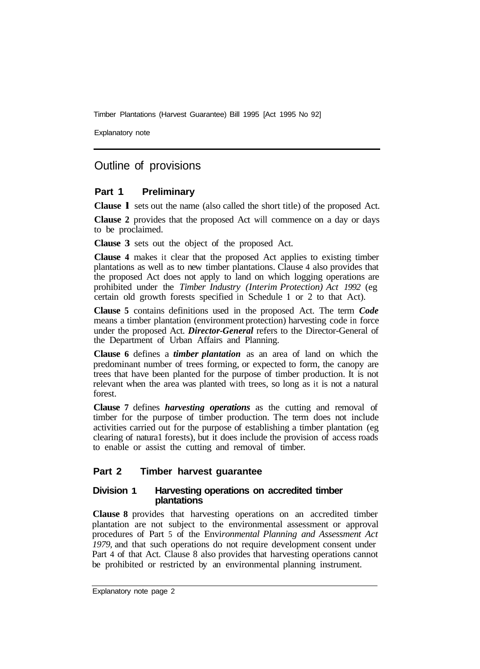Explanatory note

## Outline of provisions

#### **Part 1 Preliminary**

**Clause l** sets out the name (also called the short title) of the proposed Act.

**Clause 2** provides that the proposed Act will commence on a day or days to be proclaimed.

**Clause 3** sets out the object of the proposed Act.

**Clause 4** makes it clear that the proposed Act applies to existing timber plantations as well as to new timber plantations. Clause 4 also provides that the proposed Act does not apply to land on which logging operations are prohibited under the *Timber Industry (Interim Protection) Act 1992* (eg certain old growth forests specified in Schedule **1** or 2 to that Act).

**Clause 5** contains definitions used in the proposed Act. The term *Code*  means a timber plantation (environment protection) harvesting code in force under the proposed Act. *Director-General* refers to the Director-General of the Department of Urban Affairs and Planning.

**Clause 6** defines a *timber plantation* as an area of land on which the predominant number of trees forming, or expected to form, the canopy are trees that have been planted for the purpose of timber production. It is not relevant when the area was planted with trees, so long as it is not a natural forest.

**Clause 7** defines *harvesting operations* as the cutting and removal of timber for the purpose of timber production. The term does not include activities carried out for the purpose of establishing a timber plantation (eg clearing of natura1 forests), but it does include the provision of access roads to enable or assist the cutting and removal of timber.

#### **Part 2 Timber harvest guarantee**

#### **Division 1 Harvesting operations on accredited timber plantations**

**Clause 8** provides that harvesting operations on an accredited timber plantation are not subject to the environmental assessment or approval procedures of Part 5 of the Envi*ronmental Planning and Assessment Act 1979,* and that such operations do not require development consent under Part 4 of that Act. Clause 8 also provides that harvesting operations cannot be prohibited or restricted by an environmental planning instrument.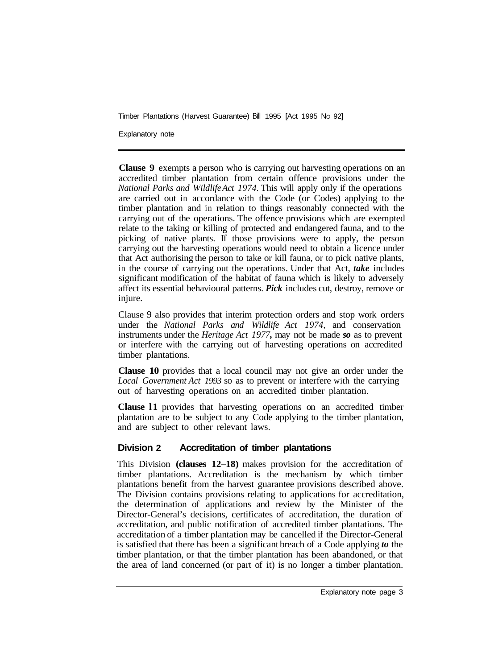Explanatory note

**Clause 9** exempts a person who is carrying out harvesting operations on an accredited timber plantation from certain offence provisions under the *National Parks and Wildlife Act 1974.* This will apply only if the operations are carried out in accordance with the Code (or Codes) applying to the timber plantation and in relation to things reasonably connected with the carrying out of the operations. The offence provisions which are exempted relate to the taking or killing of protected and endangered fauna, and to the picking of native plants. If those provisions were to apply, the person carrying out the harvesting operations would need to obtain a licence under that Act authorising the person to take or kill fauna, or to pick native plants, in the course of carrying out the operations. Under that Act, *take* includes significant modification of the habitat of fauna which is likely to adversely affect its essential behavioural patterns. *Pick* includes cut, destroy, remove or injure.

Clause 9 also provides that interim protection orders and stop work orders under the *National Parks and Wildlife Act 1974,* and conservation instruments under the *Heritage Act 1977,* may not be made *so* as to prevent or interfere with the carrying out of harvesting operations on accredited timber plantations.

**Clause 10** provides that a local council may not give an order under the *Local Government Act 1993* so as to prevent or interfere with the carrying out of harvesting operations on an accredited timber plantation.

**Clause l1** provides that harvesting operations on an accredited timber plantation are to be subject to any Code applying to the timber plantation, and are subject to other relevant laws.

#### **Division 2 Accreditation of timber plantations**

This Division **(clauses 12–18)** makes provision for the accreditation of timber plantations. Accreditation is the mechanism by which timber plantations benefit from the harvest guarantee provisions described above. The Division contains provisions relating to applications for accreditation, the determination of applications and review by the Minister of the Director-General's decisions, certificates of accreditation, the duration of accreditation, and public notification of accredited timber plantations. The accreditation of a timber plantation may be cancelled if the Director-General is satisfied that there has been a significant breach of a Code applying *to* the timber plantation, or that the timber plantation has been abandoned, or that the area of land concerned (or part of it) is no longer a timber plantation.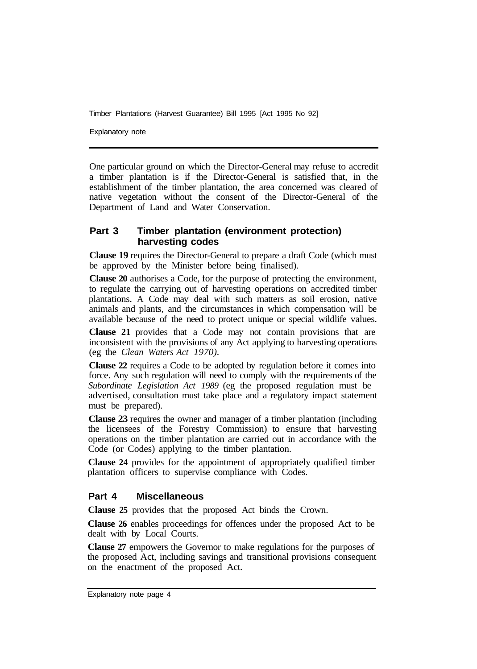Explanatory note

One particular ground on which the Director-General may refuse to accredit a timber plantation is if the Director-General is satisfied that, in the establishment of the timber plantation, the area concerned was cleared of native vegetation without the consent of the Director-General of the Department of Land and Water Conservation.

#### **Part 3 Timber plantation (environment protection) harvesting codes**

**Clause 19** requires the Director-General to prepare a draft Code (which must be approved by the Minister before being finalised).

**Clause 20** authorises a Code, for the purpose of protecting the environment, to regulate the carrying out of harvesting operations on accredited timber plantations. A Code may deal with such matters as soil erosion, native animals and plants, and the circumstances in which compensation will be available because of the need to protect unique or special wildlife values.

**Clause 21** provides that a Code may not contain provisions that are inconsistent with the provisions of any Act applying to harvesting operations (eg the *Clean Waters Act 1970).*

**Clause 22** requires a Code to be adopted by regulation before it comes into force. Any such regulation will need to comply with the requirements of the *Subordinate Legislation Act 1989* (eg the proposed regulation must be advertised, consultation must take place and a regulatory impact statement must be prepared).

**Clause 23** requires the owner and manager of a timber plantation (including the licensees of the Forestry Commission) to ensure that harvesting operations on the timber plantation are carried out in accordance with the Code (or Codes) applying to the timber plantation.

**Clause 24** provides for the appointment of appropriately qualified timber plantation officers to supervise compliance with Codes.

#### **Part 4 Miscellaneous**

**Clause 25** provides that the proposed Act binds the Crown.

**Clause 26** enables proceedings for offences under the proposed Act to be dealt with by Local Courts.

**Clause 27** empowers the Governor to make regulations for the purposes of the proposed Act, including savings and transitional provisions consequent on the enactment of the proposed Act.